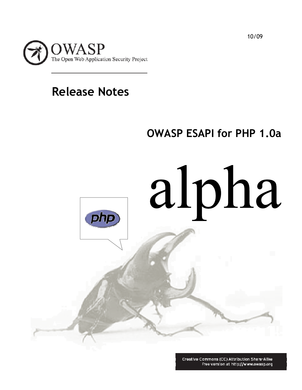

# **Release Notes**

# **OWASP ESAPI for PHP 1.0a**

alpha פוחפן

> Creative Commons (CC) Attribution Share-Alike Free version at http://www.owasp.org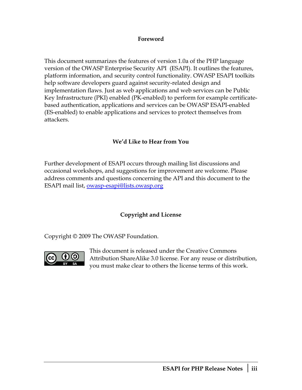#### **Foreword**

This document summarizes the features of version 1.0a of the PHP language version of the OWASP Enterprise Security API (ESAPI). It outlines the features, platform information, and security control functionality. OWASP ESAPI toolkits help software developers guard against security-related design and implementation flaws. Just as web applications and web services can be Public Key Infrastructure (PKI) enabled (PK-enabled) to perform for example certificatebased authentication, applications and services can be OWASP ESAPI-enabled (ES-enabled) to enable applications and services to protect themselves from attackers.

### **We'd Like to Hear from You**

Further development of ESAPI occurs through mailing list discussions and occasional workshops, and suggestions for improvement are welcome. Please address comments and questions concerning the API and this document to the ESAPI mail list, [owasp-esapi@lists.owasp.org](mailto:owasp-esapi@lists.owasp.org)

### **Copyright and License**

Copyright © 2009 The OWASP Foundation.



This document is released under the Creative Commons Attribution ShareAlike 3.0 license. For any reuse or d istribution, you must make clear to others the license terms of this work.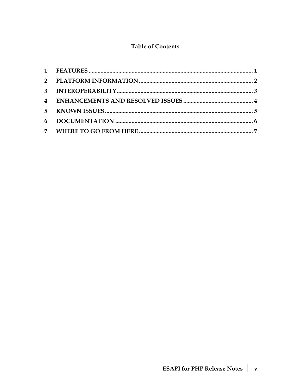### **Table of Contents**

| 6 |  |
|---|--|
|   |  |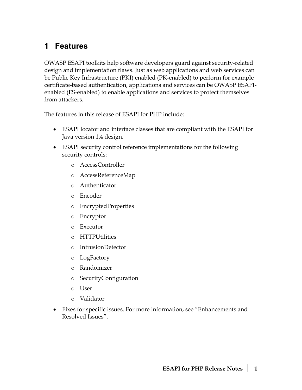### <span id="page-6-0"></span>**1 Features**

OWASP ESAPI toolkits help software developers guard against security-related design and implementation flaws. Just as web applications and web services can be Public Key Infrastructure (PKI) enabled (PK-enabled) to perform for example certificate-based authentication, applications and services can be OWASP ESAPIenabled (ES-enabled) to enable applications and services to protect themselves from attackers.

The features in this release of ESAPI for PHP include:

- ESAPI locator and interface classes that are compliant with the ESAPI for Java version 1.4 design.
- ESAPI security control reference implementations for the following security controls:
	- o AccessController
	- o AccessReferenceMap
	- o Authenticator
	- o Encoder
	- o EncryptedProperties
	- o Encryptor
	- o Executor
	- o HTTPUtilities
	- o IntrusionDetector
	- o LogFactory
	- o Randomizer
	- o SecurityConfiguration
	- o User
	- o Validator
- Fixes for specific issues. For more information, see ["Enhancements and](#page-9-0)  [Resolved Issues](#page-9-0)".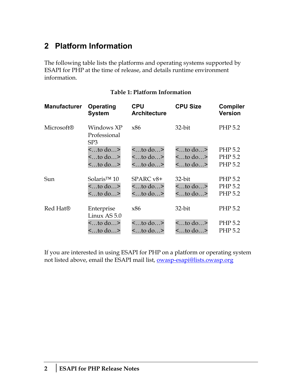## <span id="page-7-0"></span>**2 Platform Information**

The following table lists the platforms and operating systems supported by ESAPI for PHP at the time of release, and details runtime environment information.

| <b>Manufacturer</b>  | Operating<br><b>System</b>                    | <b>CPU</b><br><b>Architecture</b> | <b>CPU Size</b> | <b>Compiler</b><br><b>Version</b> |
|----------------------|-----------------------------------------------|-----------------------------------|-----------------|-----------------------------------|
| <b>Microsoft®</b>    | Windows XP<br>Professional<br>SP <sub>3</sub> | x86                               | 32-bit          | PHP 5.2                           |
|                      | $\lt$ to do>                                  | $<$ to do>                        | $<$ to do>      | PHP 5.2                           |
|                      | $\lt$ to do>                                  | $\lt$ to do>                      | $\leq$ to do>   | PHP 5.2                           |
|                      | $\lt$ to do>                                  | $\lt$ to do>                      | $\lt$ to do>    | PHP 5.2                           |
| Sun                  | Solaris <sup>TM</sup> $10$                    | $SPARC v8+$                       | 32-bit          | PHP 5.2                           |
|                      | $\lt$ to do>                                  | $\lt$ to do>                      | $<$ to do>      | PHP 5.2                           |
|                      | $\lt$ to do>                                  | $\lt$ to do>                      | $\lt$ to do>    | PHP 5.2                           |
| Red Hat <sup>®</sup> | Enterprise<br>Linux AS 5.0                    | x86                               | 32-bit          | PHP 5.2                           |
|                      | $\lt$ to do>                                  | $\lt$ to do>                      | $<$ to do>      | PHP 5.2                           |
|                      | $\lt$ to do>                                  | $\lt$ to do>                      | $\lt$ to do>    | PHP 5.2                           |

#### **Table 1: Platform Information**

If you are interested in using ESAPI for PHP on a platform or operating system not listed above, email the ESAPI mail list, [owasp-esapi@lists.owasp.org](mailto:owasp-esapi@lists.owasp.org)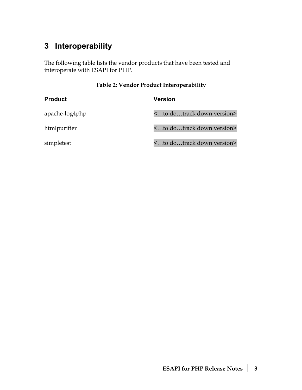## <span id="page-8-0"></span>**3 Interoperability**

The following table lists the vendor products that have been tested and interoperate with ESAPI for PHP.

### **Table 2: Vendor Product Interoperability**

| <b>Product</b> | <b>Version</b>                          |
|----------------|-----------------------------------------|
| apache-log4php | <to dotrack="" down="" version=""></to> |
| htmlpurifier   | <to dotrack="" down="" version=""></to> |
| simpletest     | <to dotrack="" down="" version=""></to> |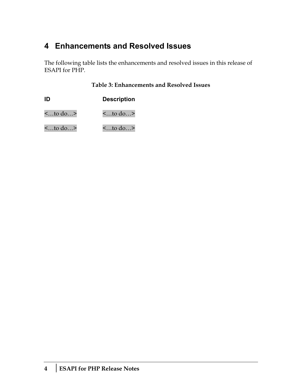## <span id="page-9-0"></span>**4 Enhancements and Resolved Issues**

The following table lists the enhancements and resolved issues in this release of ESAPI for PHP.

**Table 3: Enhancements and Resolved Issues** 

| ID           | <b>Description</b> |  |
|--------------|--------------------|--|
| $\lt$ to do> | $\lt$ to do>       |  |
| $\lt$ to do> | $\lt$ to do>       |  |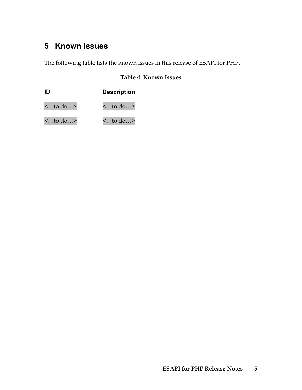## <span id="page-10-0"></span>**5 Known Issues**

The following table lists the known issues in this release of ESAPI for PHP.

### **Table 4: Known Issues**

|              | <b>Description</b> |
|--------------|--------------------|
| $\lt$ to do> | $\lt$ to do>       |
| $\lt$ to do> | $\leq$ to do>      |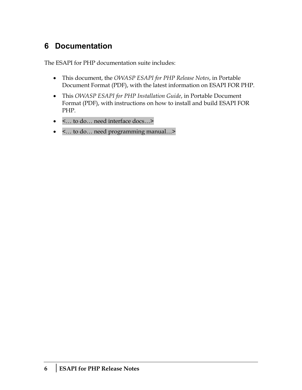# <span id="page-11-0"></span>**6 Documentation**

The ESAPI for PHP documentation suite includes:

- This document, the *OWASP ESAPI for PHP Release Notes*, in Portable Document Format (PDF), with the latest information on ESAPI FOR PHP.
- This *OWASP ESAPI for PHP Installation Guide*, in Portable Document Format (PDF), with instructions on how to install and build ESAPI FOR PHP.
- <… to do… need interface docs…>
- <… to do… need programming manual…>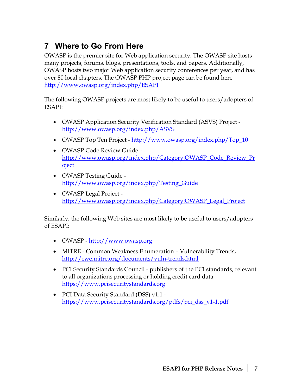# <span id="page-12-0"></span>**7 Where to Go From Here**

OWASP is the premier site for Web application security. The OWASP site hosts many projects, forums, blogs, presentations, tools, and papers. Additionally, OWASP hosts two major Web application security conferences per year, and has over 80 local chapters. The OWASP PHP project page can be found here <http://www.owasp.org/index.php/ESAPI>

The following OWASP projects are most likely to be useful to users/adopters of ESAPI:

- OWASP Application Security Verification Standard (ASVS) Project <http://www.owasp.org/index.php/ASVS>
- OWASP Top Ten Project [http://www.owasp.org/index.php/Top\\_10](http://www.owasp.org/index.php/Top_10)
- OWASP Code Review Guide [http://www.owasp.org/index.php/Category:OWASP\\_Code\\_Review\\_Pr](http://www.owasp.org/index.php/Category:OWASP_Code_Review_Project) [oject](http://www.owasp.org/index.php/Category:OWASP_Code_Review_Project)
- OWASP Testing Guide [http://www.owasp.org/index.php/Testing\\_Guide](http://www.owasp.org/index.php/Testing_Guide)
- OWASP Legal Project [http://www.owasp.org/index.php/Category:OWASP\\_Legal\\_Project](http://www.owasp.org/index.php/Category:OWASP_Legal_Project)

Similarly, the following Web sites are most likely to be useful to users/adopters of ESAPI:

- OWASP http://www.owasp.org
- MITRE Common Weakness Enumeration Vulnerability Trends, <http://cwe.mitre.org/documents/vuln-trends.html>
- PCI Security Standards Council publishers of the PCI standards, relevant to all organizations processing or holding credit card data, [https://www.pcisecuritystandards.org](https://www.pcisecuritystandards.org/)
- PCI Data Security Standard (DSS) v1.1 [https://www.pcisecuritystandards.org/pdfs/pci\\_dss\\_v1-1.pdf](https://www.pcisecuritystandards.org/pdfs/pci_dss_v1-1.pdf)